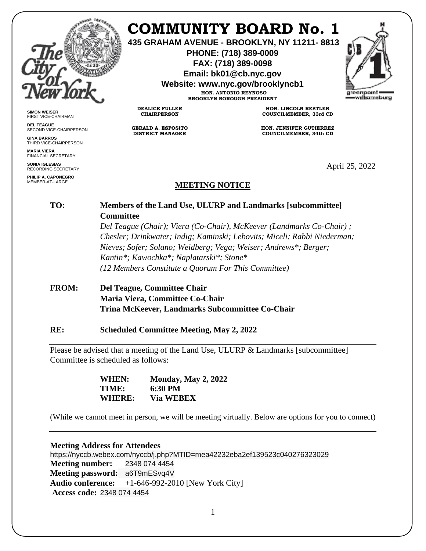

**SIMON WEISER** FIRST VICE-CHAIRMAN **DEL TEAGUE**

**GINA BARROS** THIRD VICE-CHAIRPERSON

**MARIA VIERA** FINANCIAL SECRETARY **SONIA IGLESIAS** RECORDING SECRETARY **PHILIP A. CAPONEGRO** MEMBER-AT-LARGE

SECOND VICE-CHAIRPERSON

# **COMMUNITY BOARD No. 1**

**435 GRAHAM AVENUE - BROOKLYN, NY 11211- 8813**

**PHONE: (718) 389-0009 FAX: (718) 389-0098**

**Email: bk01@cb.nyc.gov**

**Website: www.nyc.gov/brooklyncb1**

**HON. ANTONIO REYNOSO BROOKLYN BOROUGH PRESIDENT**

**DEALICE FULLER CHAIRPERSON**

**GERALD A. ESPOSITO DISTRICT MANAGER**

**HON. LINCOLN RESTLER COUNCILMEMBER, 33rd CD**

**HON. JENNIFER GUTIERREZ COUNCILMEMBER, 34th CD**

April 25, 2022

## **MEETING NOTICE**

## **TO: Members of the Land Use, ULURP and Landmarks [subcommittee] Committee**

*Del Teague (Chair); Viera (Co-Chair), McKeever (Landmarks Co-Chair) ; Chesler; Drinkwater; Indig; Kaminski; Lebovits; Miceli; Rabbi Niederman; Nieves; Sofer; Solano; Weidberg; Vega; Weiser; Andrews\*; Berger; Kantin\*; Kawochka\*; Naplatarski\*; Stone\* (12 Members Constitute a Quorum For This Committee)*

## **FROM: Del Teague, Committee Chair Maria Viera, Committee Co-Chair Trina McKeever, Landmarks Subcommittee Co-Chair**

#### **RE: Scheduled Committee Meeting, May 2, 2022**

Please be advised that a meeting of the Land Use, ULURP & Landmarks [subcommittee] Committee is scheduled as follows:

> **WHEN: Monday, May 2, 2022 TIME: 6:30 PM WHERE: Via WEBEX**

(While we cannot meet in person, we will be meeting virtually. Below are options for you to connect)

#### **Meeting Address for Attendees**

https://nyccb.webex.com/nyccb/j.php?MTID=mea42232eba2ef139523c040276323029 **Meeting number:** 2348 074 4454 **Meeting password:** a6T9mESvq4V **Audio conference:** +1-646-992-2010 [New York City] **Access code:** 2348 074 4454